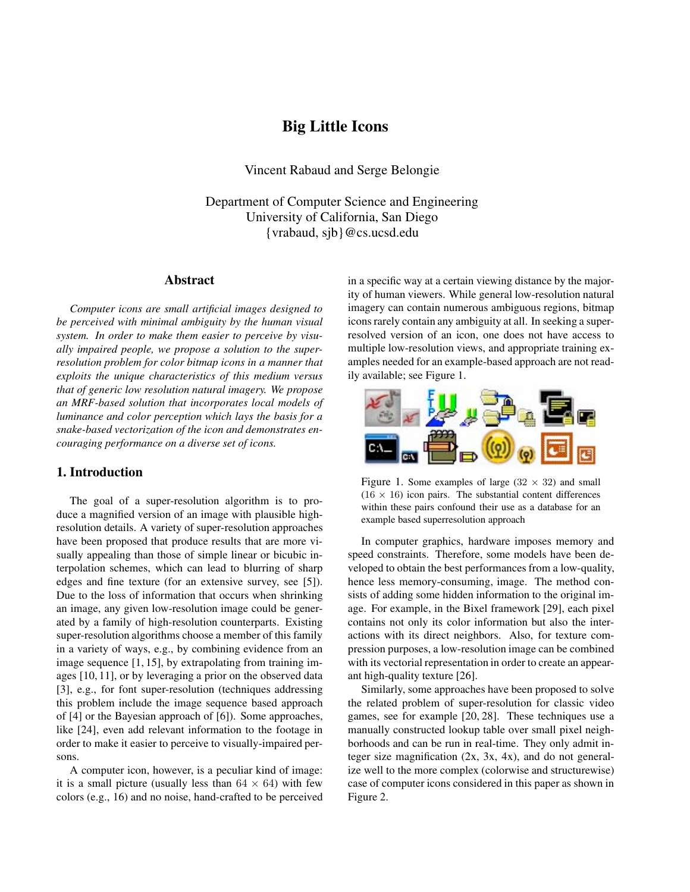# **Big Little Icons**

Vincent Rabaud and Serge Belongie

Department of Computer Science and Engineering University of California, San Diego {vrabaud, sjb}@cs.ucsd.edu

### **Abstract**

*Computer icons are small artificial images designed to be perceived with minimal ambiguity by the human visual system. In order to make them easier to perceive by visually impaired people, we propose a solution to the superresolution problem for color bitmap icons in a manner that exploits the unique characteristics of this medium versus that of generic low resolution natural imagery. We propose an MRF-based solution that incorporates local models of luminance and color perception which lays the basis for a snake-based vectorization of the icon and demonstrates encouraging performance on a diverse set of icons.*

### **1. Introduction**

The goal of a super-resolution algorithm is to produce a magnified version of an image with plausible highresolution details. A variety of super-resolution approaches have been proposed that produce results that are more visually appealing than those of simple linear or bicubic interpolation schemes, which can lead to blurring of sharp edges and fine texture (for an extensive survey, see [5]). Due to the loss of information that occurs when shrinking an image, any given low-resolution image could be generated by a family of high-resolution counterparts. Existing super-resolution algorithms choose a member of this family in a variety of ways, e.g., by combining evidence from an image sequence [1, 15], by extrapolating from training images [10, 11], or by leveraging a prior on the observed data [3], e.g., for font super-resolution (techniques addressing this problem include the image sequence based approach of [4] or the Bayesian approach of [6]). Some approaches, like [24], even add relevant information to the footage in order to make it easier to perceive to visually-impaired persons.

A computer icon, however, is a peculiar kind of image: it is a small picture (usually less than  $64 \times 64$ ) with few colors (e.g., 16) and no noise, hand-crafted to be perceived in a specific way at a certain viewing distance by the majority of human viewers. While general low-resolution natural imagery can contain numerous ambiguous regions, bitmap icons rarely contain any ambiguity at all. In seeking a superresolved version of an icon, one does not have access to multiple low-resolution views, and appropriate training examples needed for an example-based approach are not readily available; see Figure 1.



Figure 1. Some examples of large  $(32 \times 32)$  and small  $(16 \times 16)$  icon pairs. The substantial content differences within these pairs confound their use as a database for an example based superresolution approach

In computer graphics, hardware imposes memory and speed constraints. Therefore, some models have been developed to obtain the best performances from a low-quality, hence less memory-consuming, image. The method consists of adding some hidden information to the original image. For example, in the Bixel framework [29], each pixel contains not only its color information but also the interactions with its direct neighbors. Also, for texture compression purposes, a low-resolution image can be combined with its vectorial representation in order to create an appearant high-quality texture [26].

Similarly, some approaches have been proposed to solve the related problem of super-resolution for classic video games, see for example [20, 28]. These techniques use a manually constructed lookup table over small pixel neighborhoods and can be run in real-time. They only admit integer size magnification (2x, 3x, 4x), and do not generalize well to the more complex (colorwise and structurewise) case of computer icons considered in this paper as shown in Figure 2.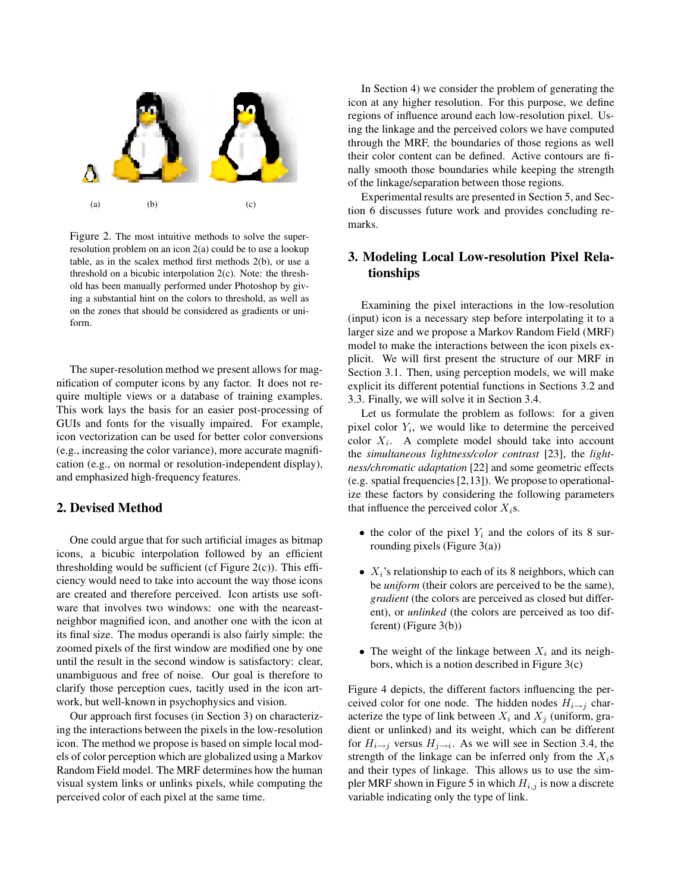

Figure 2. The most intuitive methods to solve the superresolution problem on an icon 2(a) could be to use a lookup table, as in the scalex method first methods 2(b), or use a threshold on a bicubic interpolation 2(c). Note: the threshold has been manually performed under Photoshop by giving a substantial hint on the colors to threshold, as well as on the zones that should be considered as gradients or uniform.

The super-resolution method we present allows for magnification of computer icons by any factor. It does not require multiple views or a database of training examples. This work lays the basis for an easier post-processing of GUIs and fonts for the visually impaired. For example, icon vectorization can be used for better color conversions (e.g., increasing the color variance), more accurate magnification (e.g., on normal or resolution-independent display), and emphasized high-frequency features.

### **2. Devised Method**

One could argue that for such artificial images as bitmap icons, a bicubic interpolation followed by an efficient thresholding would be sufficient (cf Figure  $2(c)$ ). This efficiency would need to take into account the way those icons are created and therefore perceived. Icon artists use software that involves two windows: one with the neareastneighbor magnified icon, and another one with the icon at its final size. The modus operandi is also fairly simple: the zoomed pixels of the first window are modified one by one until the result in the second window is satisfactory: clear, unambiguous and free of noise. Our goal is therefore to clarify those perception cues, tacitly used in the icon artwork, but well-known in psychophysics and vision.

Our approach first focuses (in Section 3) on characterizing the interactions between the pixels in the low-resolution icon. The method we propose is based on simple local models of color perception which are globalized using a Markov Random Field model. The MRF determines how the human visual system links or unlinks pixels, while computing the perceived color of each pixel at the same time.

In Section 4) we consider the problem of generating the icon at any higher resolution. For this purpose, we define regions of influence around each low-resolution pixel. Using the linkage and the perceived colors we have computed through the MRF, the boundaries of those regions as well their color content can be defined. Active contours are finally smooth those boundaries while keeping the strength of the linkage/separation between those regions.

Experimental results are presented in Section 5, and Section 6 discusses future work and provides concluding remarks.

# **3. Modeling Local Low-resolution Pixel Relationships**

Examining the pixel interactions in the low-resolution (input) icon is a necessary step before interpolating it to a larger size and we propose a Markov Random Field (MRF) model to make the interactions between the icon pixels explicit. We will first present the structure of our MRF in Section 3.1. Then, using perception models, we will make explicit its different potential functions in Sections 3.2 and 3.3. Finally, we will solve it in Section 3.4.

Let us formulate the problem as follows: for a given pixel color  $Y_i$ , we would like to determine the perceived color  $X_i$ . A complete model should take into account the *simultaneous lightness/color contrast* [23], the *lightness/chromatic adaptation* [22] and some geometric effects (e.g. spatial frequencies[2,13]). We propose to operationalize these factors by considering the following parameters that influence the perceived color  $X_i$ s.

- the color of the pixel  $Y_i$  and the colors of its 8 surrounding pixels (Figure 3(a))
- $X_i$ 's relationship to each of its 8 neighbors, which can be *uniform* (their colors are perceived to be the same), *gradient* (the colors are perceived as closed but different), or *unlinked* (the colors are perceived as too different) (Figure 3(b))
- The weight of the linkage between  $X_i$  and its neighbors, which is a notion described in Figure 3(c)

Figure 4 depicts, the different factors influencing the perceived color for one node. The hidden nodes  $H_{i\rightarrow j}$  characterize the type of link between  $X_i$  and  $X_j$  (uniform, gradient or unlinked) and its weight, which can be different for  $H_{i\rightarrow j}$  versus  $H_{j\rightarrow i}$ . As we will see in Section 3.4, the strength of the linkage can be inferred only from the  $X_i$ s and their types of linkage. This allows us to use the simpler MRF shown in Figure 5 in which  $H_{i,j}$  is now a discrete variable indicating only the type of link.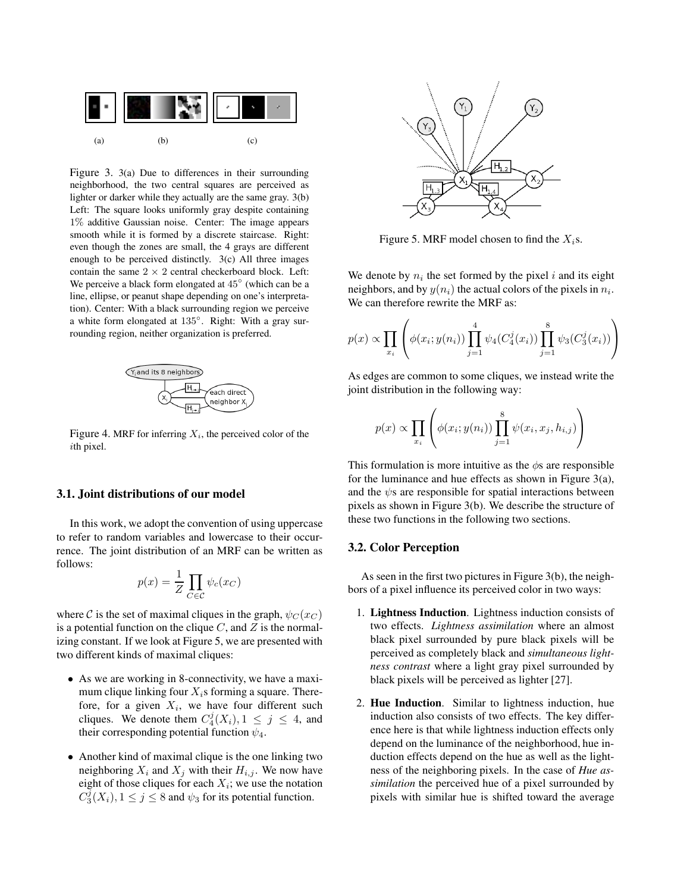

Figure 3. 3(a) Due to differences in their surrounding neighborhood, the two central squares are perceived as lighter or darker while they actually are the same gray. 3(b) Left: The square looks uniformly gray despite containing 1% additive Gaussian noise. Center: The image appears smooth while it is formed by a discrete staircase. Right: even though the zones are small, the 4 grays are different enough to be perceived distinctly. 3(c) All three images contain the same  $2 \times 2$  central checkerboard block. Left: We perceive a black form elongated at 45◦ (which can be a line, ellipse, or peanut shape depending on one's interpretation). Center: With a black surrounding region we perceive a white form elongated at 135◦. Right: With a gray surrounding region, neither organization is preferred.



Figure 4. MRF for inferring  $X_i$ , the perceived color of the ith pixel.

#### **3.1. Joint distributions of our model**

In this work, we adopt the convention of using uppercase to refer to random variables and lowercase to their occurrence. The joint distribution of an MRF can be written as follows:

$$
p(x) = \frac{1}{Z} \prod_{C \in \mathcal{C}} \psi_c(x_C)
$$

where C is the set of maximal cliques in the graph,  $\psi_C(x_C)$ is a potential function on the clique  $C$ , and  $Z$  is the normalizing constant. If we look at Figure 5, we are presented with two different kinds of maximal cliques:

- As we are working in 8-connectivity, we have a maximum clique linking four  $X_i$ s forming a square. Therefore, for a given  $X_i$ , we have four different such cliques. We denote them  $C_4^j(X_i)$ ,  $1 \le j \le 4$ , and their corresponding potential function  $\psi_4$ .
- Another kind of maximal clique is the one linking two neighboring  $X_i$  and  $X_j$  with their  $H_{i,j}$ . We now have eight of those cliques for each  $X_i$ ; we use the notation  $C_3^{\overline{j}}(X_i)$ ,  $1 \le j \le 8$  and  $\psi_3$  for its potential function.



Figure 5. MRF model chosen to find the  $X_i$ s.

We denote by  $n_i$  the set formed by the pixel i and its eight neighbors, and by  $y(n_i)$  the actual colors of the pixels in  $n_i$ . We can therefore rewrite the MRF as:

$$
p(x) \propto \prod_{x_i} \left( \phi(x_i; y(n_i)) \prod_{j=1}^4 \psi_4(C_4^j(x_i)) \prod_{j=1}^8 \psi_3(C_3^j(x_i)) \right)
$$

As edges are common to some cliques, we instead write the joint distribution in the following way:

$$
p(x) \propto \prod_{x_i} \left( \phi(x_i; y(n_i)) \prod_{j=1}^8 \psi(x_i, x_j, h_{i,j}) \right)
$$

This formulation is more intuitive as the  $\phi$ s are responsible for the luminance and hue effects as shown in Figure 3(a), and the  $\psi$ s are responsible for spatial interactions between pixels as shown in Figure 3(b). We describe the structure of these two functions in the following two sections.

#### **3.2. Color Perception**

As seen in the first two pictures in Figure 3(b), the neighbors of a pixel influence its perceived color in two ways:

- 1. **Lightness Induction**. Lightness induction consists of two effects. *Lightness assimilation* where an almost black pixel surrounded by pure black pixels will be perceived as completely black and *simultaneous lightness contrast* where a light gray pixel surrounded by black pixels will be perceived as lighter [27].
- 2. **Hue Induction**. Similar to lightness induction, hue induction also consists of two effects. The key difference here is that while lightness induction effects only depend on the luminance of the neighborhood, hue induction effects depend on the hue as well as the lightness of the neighboring pixels. In the case of *Hue assimilation* the perceived hue of a pixel surrounded by pixels with similar hue is shifted toward the average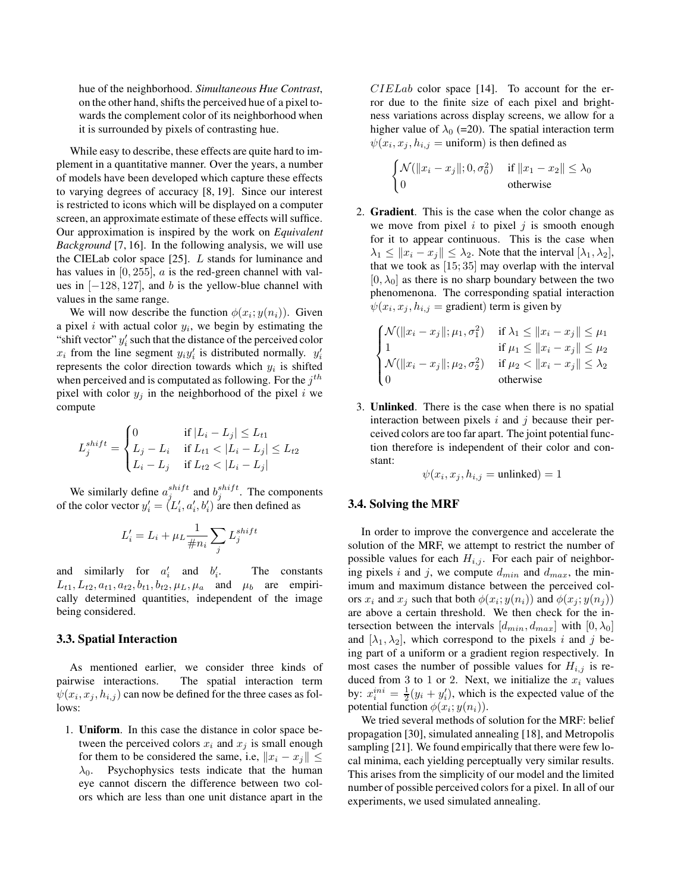hue of the neighborhood. *Simultaneous Hue Contrast*, on the other hand, shifts the perceived hue of a pixel towards the complement color of its neighborhood when it is surrounded by pixels of contrasting hue.

While easy to describe, these effects are quite hard to implement in a quantitative manner. Over the years, a number of models have been developed which capture these effects to varying degrees of accuracy [8, 19]. Since our interest is restricted to icons which will be displayed on a computer screen, an approximate estimate of these effects will suffice. Our approximation is inspired by the work on *Equivalent Background* [7, 16]. In the following analysis, we will use the CIELab color space  $[25]$ . L stands for luminance and has values in  $[0, 255]$ ,  $\alpha$  is the red-green channel with values in  $[-128, 127]$ , and b is the yellow-blue channel with values in the same range.

We will now describe the function  $\phi(x_i; y(n_i))$ . Given a pixel i with actual color  $y_i$ , we begin by estimating the "shift vector"  $y_i'$  such that the distance of the perceived color  $x_i$  from the line segment  $y_i y_i'$  is distributed normally.  $y_i'$ represents the color direction towards which  $y_i$  is shifted when perceived and is computated as following. For the  $j<sup>th</sup>$ pixel with color  $y_j$  in the neighborhood of the pixel i we compute

$$
L_j^{shift} = \begin{cases} 0 & \text{if } |L_i - L_j| \le L_{t1} \\ L_j - L_i & \text{if } L_{t1} < |L_i - L_j| \le L_{t2} \\ L_i - L_j & \text{if } L_{t2} < |L_i - L_j| \end{cases}
$$

We similarly define  $a_j^{shift}$  and  $b_j^{shift}$ . The components of the color vector  $y_i' = (L_i', a_i', b_i')$  are then defined as

$$
L'_i = L_i + \mu_L \frac{1}{\#n_i} \sum_j L_j^{shift}
$$

and similarly for  $a'_i$  and  $b'_i$ The constants  $L_{t1}, L_{t2}, a_{t1}, a_{t2}, b_{t1}, b_{t2}, \mu_L, \mu_a$  and  $\mu_b$  are empirically determined quantities, independent of the image being considered.

#### **3.3. Spatial Interaction**

As mentioned earlier, we consider three kinds of pairwise interactions. The spatial interaction term  $\psi(x_i, x_j, h_{i,j})$  can now be defined for the three cases as follows:

1. **Uniform**. In this case the distance in color space between the perceived colors  $x_i$  and  $x_j$  is small enough for them to be considered the same, i.e,  $||x_i - x_j|| \leq$  $\lambda_0$ . Psychophysics tests indicate that the human eye cannot discern the difference between two colors which are less than one unit distance apart in the  $CIELab$  color space [14]. To account for the error due to the finite size of each pixel and brightness variations across display screens, we allow for a higher value of  $\lambda_0$  (=20). The spatial interaction term  $\psi(x_i, x_j, h_{i,j} = \text{uniform})$  is then defined as

$$
\begin{cases} \mathcal{N}(\|x_i - x_j\|; 0, \sigma_0^2) & \text{if } \|x_1 - x_2\| \le \lambda_0\\ 0 & \text{otherwise} \end{cases}
$$

2. **Gradient**. This is the case when the color change as we move from pixel i to pixel j is smooth enough for it to appear continuous. This is the case when  $\lambda_1 \leq ||x_i - x_j|| \leq \lambda_2$ . Note that the interval  $[\lambda_1, \lambda_2]$ , that we took as [15; 35] may overlap with the interval  $[0, \lambda_0]$  as there is no sharp boundary between the two phenomenona. The corresponding spatial interaction  $\psi(x_i, x_j, h_{i,j} = \text{gradient})$  term is given by

$$
\begin{cases}\n\mathcal{N}(\|x_i - x_j\|; \mu_1, \sigma_1^2) & \text{if } \lambda_1 \le \|x_i - x_j\| \le \mu_1 \\
1 & \text{if } \mu_1 \le \|x_i - x_j\| \le \mu_2 \\
\mathcal{N}(\|x_i - x_j\|; \mu_2, \sigma_2^2) & \text{if } \mu_2 < \|x_i - x_j\| \le \lambda_2 \\
0 & \text{otherwise}\n\end{cases}
$$

3. **Unlinked**. There is the case when there is no spatial interaction between pixels  $i$  and  $j$  because their perceived colors are too far apart. The joint potential function therefore is independent of their color and constant:

$$
\psi(x_i, x_j, h_{i,j} = \text{unlinked}) = 1
$$

#### **3.4. Solving the MRF**

In order to improve the convergence and accelerate the solution of the MRF, we attempt to restrict the number of possible values for each  $H_{i,j}$ . For each pair of neighboring pixels i and j, we compute  $d_{min}$  and  $d_{max}$ , the minimum and maximum distance between the perceived colors  $x_i$  and  $x_j$  such that both  $\phi(x_i; y(n_i))$  and  $\phi(x_j; y(n_j))$ are above a certain threshold. We then check for the intersection between the intervals  $[d_{min}, d_{max}]$  with  $[0, \lambda_0]$ and  $[\lambda_1, \lambda_2]$ , which correspond to the pixels i and j being part of a uniform or a gradient region respectively. In most cases the number of possible values for  $H_{i,j}$  is reduced from 3 to 1 or 2. Next, we initialize the  $x_i$  values by:  $x_i^{ini} = \frac{1}{2}(y_i + y_i')$ , which is the expected value of the potential function  $\phi(x_i; y(n_i))$ .

We tried several methods of solution for the MRF: belief propagation [30], simulated annealing [18], and Metropolis sampling [21]. We found empirically that there were few local minima, each yielding perceptually very similar results. This arises from the simplicity of our model and the limited number of possible perceived colors for a pixel. In all of our experiments, we used simulated annealing.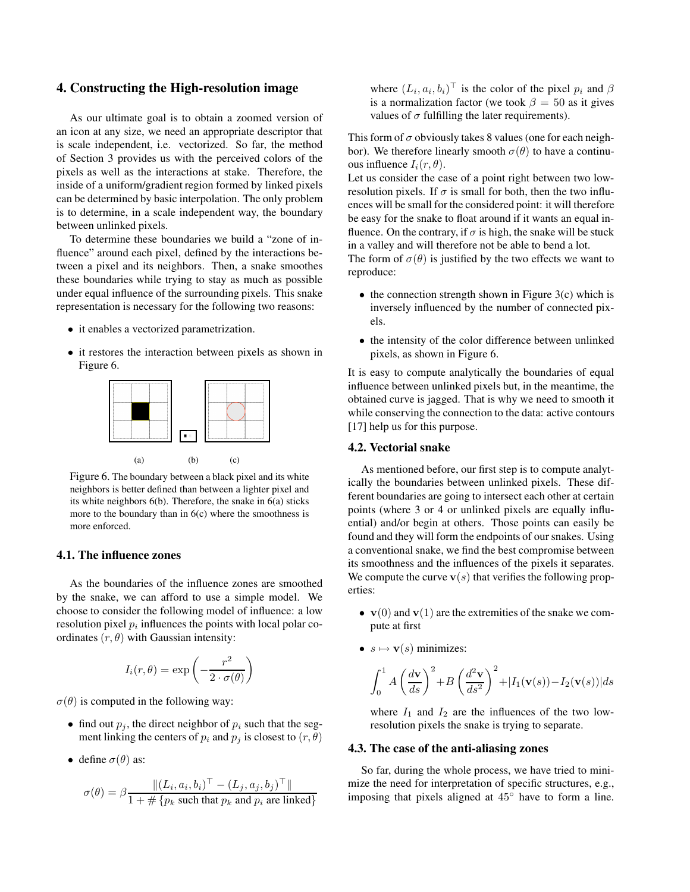# **4. Constructing the High-resolution image**

As our ultimate goal is to obtain a zoomed version of an icon at any size, we need an appropriate descriptor that is scale independent, i.e. vectorized. So far, the method of Section 3 provides us with the perceived colors of the pixels as well as the interactions at stake. Therefore, the inside of a uniform/gradient region formed by linked pixels can be determined by basic interpolation. The only problem is to determine, in a scale independent way, the boundary between unlinked pixels.

To determine these boundaries we build a "zone of influence" around each pixel, defined by the interactions between a pixel and its neighbors. Then, a snake smoothes these boundaries while trying to stay as much as possible under equal influence of the surrounding pixels. This snake representation is necessary for the following two reasons:

- it enables a vectorized parametrization.
- it restores the interaction between pixels as shown in Figure 6.



Figure 6. The boundary between a black pixel and its white neighbors is better defined than between a lighter pixel and its white neighbors 6(b). Therefore, the snake in 6(a) sticks more to the boundary than in  $6(c)$  where the smoothness is more enforced.

#### **4.1. The influence zones**

As the boundaries of the influence zones are smoothed by the snake, we can afford to use a simple model. We choose to consider the following model of influence: a low resolution pixel  $p_i$  influences the points with local polar coordinates  $(r, \theta)$  with Gaussian intensity:

$$
I_i(r, \theta) = \exp\left(-\frac{r^2}{2 \cdot \sigma(\theta)}\right)
$$

 $\sigma(\theta)$  is computed in the following way:

- find out  $p_j$ , the direct neighbor of  $p_i$  such that the segment linking the centers of  $p_i$  and  $p_j$  is closest to  $(r, \theta)$
- define  $\sigma(\theta)$  as:

$$
\sigma(\theta) = \beta \frac{\|(L_i, a_i, b_i)^{\top} - (L_j, a_j, b_j)^{\top}\|}{1 + \# \{p_k \text{ such that } p_k \text{ and } p_i \text{ are linked}\}}
$$

where  $(L_i, a_i, b_i)^\top$  is the color of the pixel  $p_i$  and  $\beta$ is a normalization factor (we took  $\beta = 50$  as it gives values of  $\sigma$  fulfilling the later requirements).

This form of  $\sigma$  obviously takes 8 values (one for each neighbor). We therefore linearly smooth  $\sigma(\theta)$  to have a continuous influence  $I_i(r, \theta)$ .

Let us consider the case of a point right between two lowresolution pixels. If  $\sigma$  is small for both, then the two influences will be small for the considered point: it will therefore be easy for the snake to float around if it wants an equal influence. On the contrary, if  $\sigma$  is high, the snake will be stuck in a valley and will therefore not be able to bend a lot.

The form of  $\sigma(\theta)$  is justified by the two effects we want to reproduce:

- the connection strength shown in Figure  $3(c)$  which is inversely influenced by the number of connected pixels.
- the intensity of the color difference between unlinked pixels, as shown in Figure 6.

It is easy to compute analytically the boundaries of equal influence between unlinked pixels but, in the meantime, the obtained curve is jagged. That is why we need to smooth it while conserving the connection to the data: active contours [17] help us for this purpose.

### **4.2. Vectorial snake**

As mentioned before, our first step is to compute analytically the boundaries between unlinked pixels. These different boundaries are going to intersect each other at certain points (where 3 or 4 or unlinked pixels are equally influential) and/or begin at others. Those points can easily be found and they will form the endpoints of oursnakes. Using a conventional snake, we find the best compromise between its smoothness and the influences of the pixels it separates. We compute the curve  $v(s)$  that verifies the following properties:

- $v(0)$  and  $v(1)$  are the extremities of the snake we compute at first
- $s \mapsto \mathbf{v}(s)$  minimizes:

$$
\int_0^1 A \left(\frac{d\mathbf{v}}{ds}\right)^2 + B \left(\frac{d^2\mathbf{v}}{ds^2}\right)^2 + |I_1(\mathbf{v}(s)) - I_2(\mathbf{v}(s))| ds
$$

where  $I_1$  and  $I_2$  are the influences of the two lowresolution pixels the snake is trying to separate.

### **4.3. The case of the anti-aliasing zones**

So far, during the whole process, we have tried to minimize the need for interpretation of specific structures, e.g., imposing that pixels aligned at 45◦ have to form a line.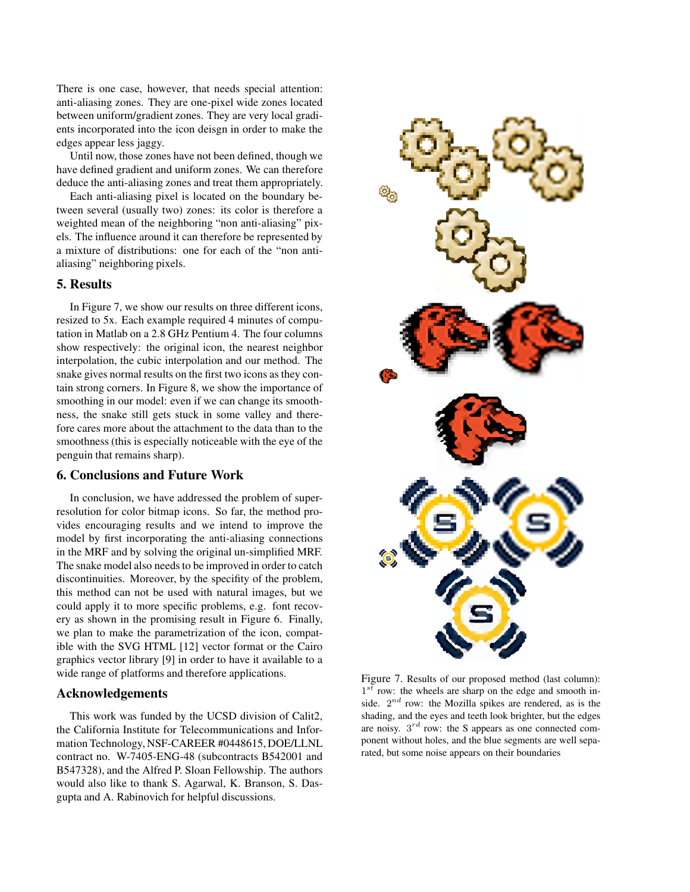There is one case, however, that needs special attention: anti-aliasing zones. They are one-pixel wide zones located between uniform/gradient zones. They are very local gradients incorporated into the icon deisgn in order to make the edges appear less jaggy.

Until now, those zones have not been defined, though we have defined gradient and uniform zones. We can therefore deduce the anti-aliasing zones and treat them appropriately.

Each anti-aliasing pixel is located on the boundary between several (usually two) zones: its color is therefore a weighted mean of the neighboring "non anti-aliasing" pixels. The influence around it can therefore be represented by a mixture of distributions: one for each of the "non antialiasing" neighboring pixels.

# **5. Results**

In Figure 7, we show our results on three different icons, resized to 5x. Each example required 4 minutes of computation in Matlab on a 2.8 GHz Pentium 4. The four columns show respectively: the original icon, the nearest neighbor interpolation, the cubic interpolation and our method. The snake gives normal results on the first two icons as they contain strong corners. In Figure 8, we show the importance of smoothing in our model: even if we can change its smoothness, the snake still gets stuck in some valley and therefore cares more about the attachment to the data than to the smoothness (this is especially noticeable with the eye of the penguin that remains sharp).

#### **6. Conclusions and Future Work**

In conclusion, we have addressed the problem of superresolution for color bitmap icons. So far, the method provides encouraging results and we intend to improve the model by first incorporating the anti-aliasing connections in the MRF and by solving the original un-simplified MRF. The snake model also needs to be improved in order to catch discontinuities. Moreover, by the specifity of the problem, this method can not be used with natural images, but we could apply it to more specific problems, e.g. font recovery as shown in the promising result in Figure 6. Finally, we plan to make the parametrization of the icon, compatible with the SVG HTML [12] vector format or the Cairo graphics vector library [9] in order to have it available to a wide range of platforms and therefore applications.

# **Acknowledgements**

This work was funded by the UCSD division of Calit2, the California Institute for Telecommunications and Information Technology, NSF-CAREER #0448615, DOE/LLNL contract no. W-7405-ENG-48 (subcontracts B542001 and B547328), and the Alfred P. Sloan Fellowship. The authors would also like to thank S. Agarwal, K. Branson, S. Dasgupta and A. Rabinovich for helpful discussions.



Figure 7. Results of our proposed method (last column):  $1^{s\bar{t}}$  row: the wheels are sharp on the edge and smooth inside.  $2^{nd}$  row: the Mozilla spikes are rendered, as is the shading, and the eyes and teeth look brighter, but the edges are noisy.  $3^{rd}$  row: the S appears as one connected component without holes, and the blue segments are well separated, but some noise appears on their boundaries